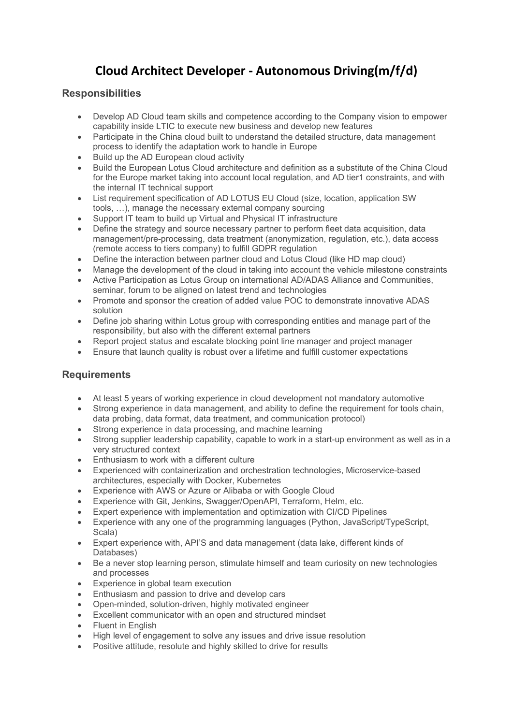## **Cloud Architect Developer ‐ Autonomous Driving(m/f/d)**

## **Responsibilities**

- Develop AD Cloud team skills and competence according to the Company vision to empower capability inside LTIC to execute new business and develop new features
- Participate in the China cloud built to understand the detailed structure, data management process to identify the adaptation work to handle in Europe
- Build up the AD European cloud activity
- Build the European Lotus Cloud architecture and definition as a substitute of the China Cloud for the Europe market taking into account local regulation, and AD tier1 constraints, and with the internal IT technical support
- List requirement specification of AD LOTUS EU Cloud (size, location, application SW tools, …), manage the necessary external company sourcing
- Support IT team to build up Virtual and Physical IT infrastructure
- Define the strategy and source necessary partner to perform fleet data acquisition, data management/pre-processing, data treatment (anonymization, regulation, etc.), data access (remote access to tiers company) to fulfill GDPR regulation
- Define the interaction between partner cloud and Lotus Cloud (like HD map cloud)
- Manage the development of the cloud in taking into account the vehicle milestone constraints
- Active Participation as Lotus Group on international AD/ADAS Alliance and Communities, seminar, forum to be aligned on latest trend and technologies
- Promote and sponsor the creation of added value POC to demonstrate innovative ADAS solution
- Define job sharing within Lotus group with corresponding entities and manage part of the responsibility, but also with the different external partners
- Report project status and escalate blocking point line manager and project manager
- Ensure that launch quality is robust over a lifetime and fulfill customer expectations

## **Requirements**

- At least 5 years of working experience in cloud development not mandatory automotive
- Strong experience in data management, and ability to define the requirement for tools chain, data probing, data format, data treatment, and communication protocol)
- Strong experience in data processing, and machine learning
- Strong supplier leadership capability, capable to work in a start-up environment as well as in a very structured context
- Enthusiasm to work with a different culture
- Experienced with containerization and orchestration technologies, Microservice-based architectures, especially with Docker, Kubernetes
- Experience with AWS or Azure or Alibaba or with Google Cloud
- Experience with Git, Jenkins, Swagger/OpenAPI, Terraform, Helm, etc.
- Expert experience with implementation and optimization with CI/CD Pipelines
- Experience with any one of the programming languages (Python, JavaScript/TypeScript, Scala)
- Expert experience with, API'S and data management (data lake, different kinds of Databases)
- Be a never stop learning person, stimulate himself and team curiosity on new technologies and processes
- Experience in global team execution
- Enthusiasm and passion to drive and develop cars
- Open-minded, solution-driven, highly motivated engineer
- Excellent communicator with an open and structured mindset
- Fluent in English
- High level of engagement to solve any issues and drive issue resolution
- Positive attitude, resolute and highly skilled to drive for results